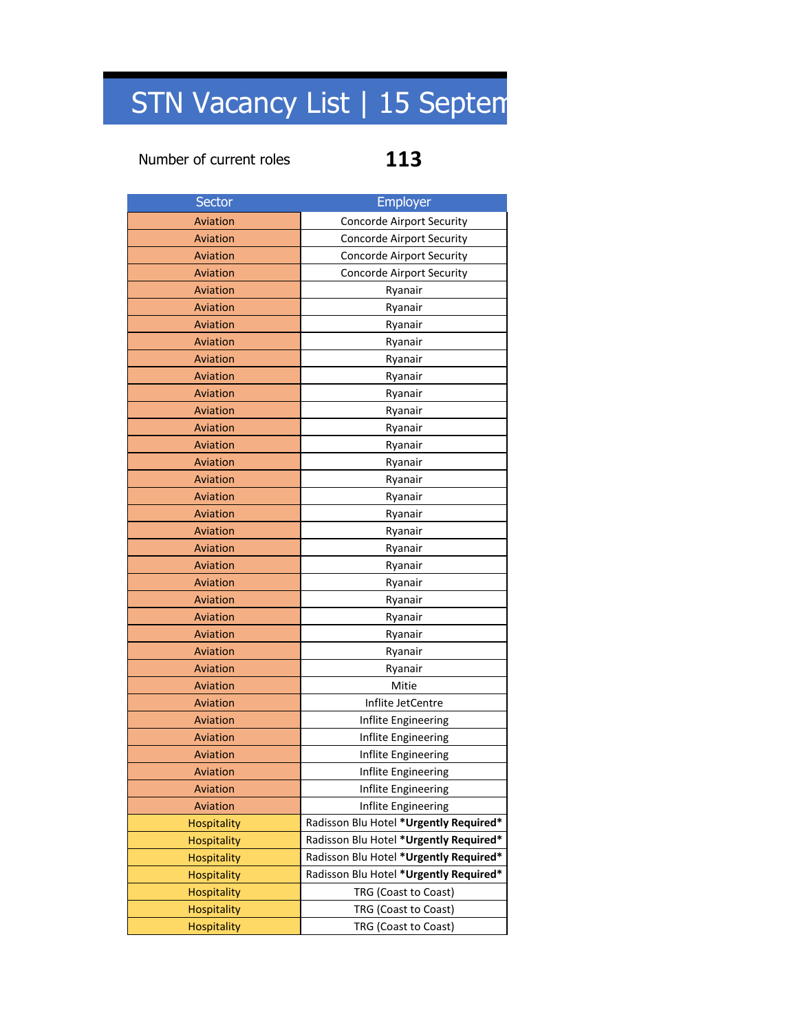## STN Vacancy List | 15 Septem

### Number of current roles **113**

| Sector             | <b>Employer</b>                        |  |
|--------------------|----------------------------------------|--|
| Aviation           | <b>Concorde Airport Security</b>       |  |
| Aviation           | Concorde Airport Security              |  |
| Aviation           | Concorde Airport Security              |  |
| Aviation           | Concorde Airport Security              |  |
| Aviation           | Ryanair                                |  |
| Aviation           | Ryanair                                |  |
| Aviation           | Ryanair                                |  |
| Aviation           | Ryanair                                |  |
| Aviation           | Ryanair                                |  |
| Aviation           | Ryanair                                |  |
| Aviation           | Ryanair                                |  |
| Aviation           | Ryanair                                |  |
| Aviation           | Ryanair                                |  |
| Aviation           | Ryanair                                |  |
| Aviation           | Ryanair                                |  |
| Aviation           | Ryanair                                |  |
| Aviation           | Ryanair                                |  |
| Aviation           | Ryanair                                |  |
| Aviation           | Ryanair                                |  |
| Aviation           | Ryanair                                |  |
| Aviation           | Ryanair                                |  |
| Aviation           | Ryanair                                |  |
| Aviation           | Ryanair                                |  |
| Aviation           | Ryanair                                |  |
| Aviation           | Ryanair                                |  |
| Aviation           | Ryanair                                |  |
| Aviation           | Ryanair                                |  |
| Aviation           | Mitie                                  |  |
| Aviation           | Inflite JetCentre                      |  |
| Aviation           | Inflite Engineering                    |  |
| Aviation           | Inflite Engineering                    |  |
| <b>Aviation</b>    | Inflite Engineering                    |  |
| Aviation           | Inflite Engineering                    |  |
| Aviation           | Inflite Engineering                    |  |
| Aviation           | Inflite Engineering                    |  |
| Hospitality        | Radisson Blu Hotel *Urgently Required* |  |
| <b>Hospitality</b> | Radisson Blu Hotel *Urgently Required* |  |
| Hospitality        | Radisson Blu Hotel *Urgently Required* |  |
| Hospitality        | Radisson Blu Hotel *Urgently Required* |  |
| <b>Hospitality</b> | TRG (Coast to Coast)                   |  |
| Hospitality        | TRG (Coast to Coast)                   |  |
| Hospitality        | TRG (Coast to Coast)                   |  |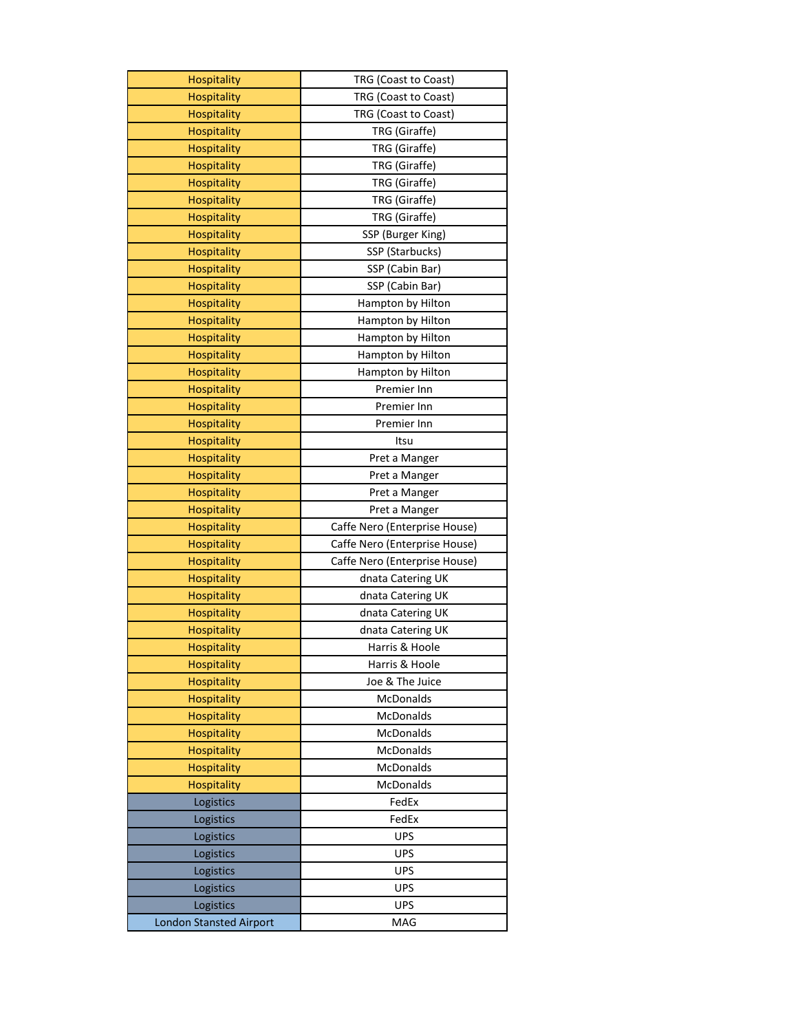| <b>Hospitality</b>             | TRG (Coast to Coast)          |
|--------------------------------|-------------------------------|
| <b>Hospitality</b>             | TRG (Coast to Coast)          |
| <b>Hospitality</b>             | TRG (Coast to Coast)          |
| Hospitality                    | TRG (Giraffe)                 |
| Hospitality                    | TRG (Giraffe)                 |
| <b>Hospitality</b>             | TRG (Giraffe)                 |
| <b>Hospitality</b>             | TRG (Giraffe)                 |
| <b>Hospitality</b>             | TRG (Giraffe)                 |
| <b>Hospitality</b>             | TRG (Giraffe)                 |
| <b>Hospitality</b>             | SSP (Burger King)             |
| <b>Hospitality</b>             | SSP (Starbucks)               |
| <b>Hospitality</b>             | SSP (Cabin Bar)               |
| <b>Hospitality</b>             | SSP (Cabin Bar)               |
| Hospitality                    | Hampton by Hilton             |
| Hospitality                    | Hampton by Hilton             |
| <b>Hospitality</b>             | Hampton by Hilton             |
| <b>Hospitality</b>             | Hampton by Hilton             |
| <b>Hospitality</b>             | Hampton by Hilton             |
| <b>Hospitality</b>             | Premier Inn                   |
| <b>Hospitality</b>             | Premier Inn                   |
| <b>Hospitality</b>             | Premier Inn                   |
| <b>Hospitality</b>             | Itsu                          |
| <b>Hospitality</b>             | Pret a Manger                 |
| Hospitality                    | Pret a Manger                 |
| Hospitality                    | Pret a Manger                 |
| <b>Hospitality</b>             | Pret a Manger                 |
| <b>Hospitality</b>             | Caffe Nero (Enterprise House) |
| <b>Hospitality</b>             | Caffe Nero (Enterprise House) |
| <b>Hospitality</b>             | Caffe Nero (Enterprise House) |
| <b>Hospitality</b>             | dnata Catering UK             |
| <b>Hospitality</b>             | dnata Catering UK             |
| <b>Hospitality</b>             | dnata Catering UK             |
| <b>Hospitality</b>             | dnata Catering UK             |
| <b>Hospitality</b>             | Harris & Hoole                |
| Hospitality                    | Harris & Hoole                |
| <b>Hospitality</b>             | Joe & The Juice               |
| <b>Hospitality</b>             | McDonalds                     |
| <b>Hospitality</b>             | McDonalds                     |
| Hospitality                    | McDonalds                     |
| <b>Hospitality</b>             | McDonalds                     |
| <b>Hospitality</b>             | McDonalds                     |
| Hospitality                    | McDonalds                     |
| Logistics                      | FedEx                         |
| Logistics                      | FedEx                         |
| Logistics                      | <b>UPS</b>                    |
| Logistics                      | <b>UPS</b>                    |
| Logistics                      | <b>UPS</b>                    |
| Logistics                      | <b>UPS</b>                    |
| Logistics                      | <b>UPS</b>                    |
| <b>London Stansted Airport</b> | MAG                           |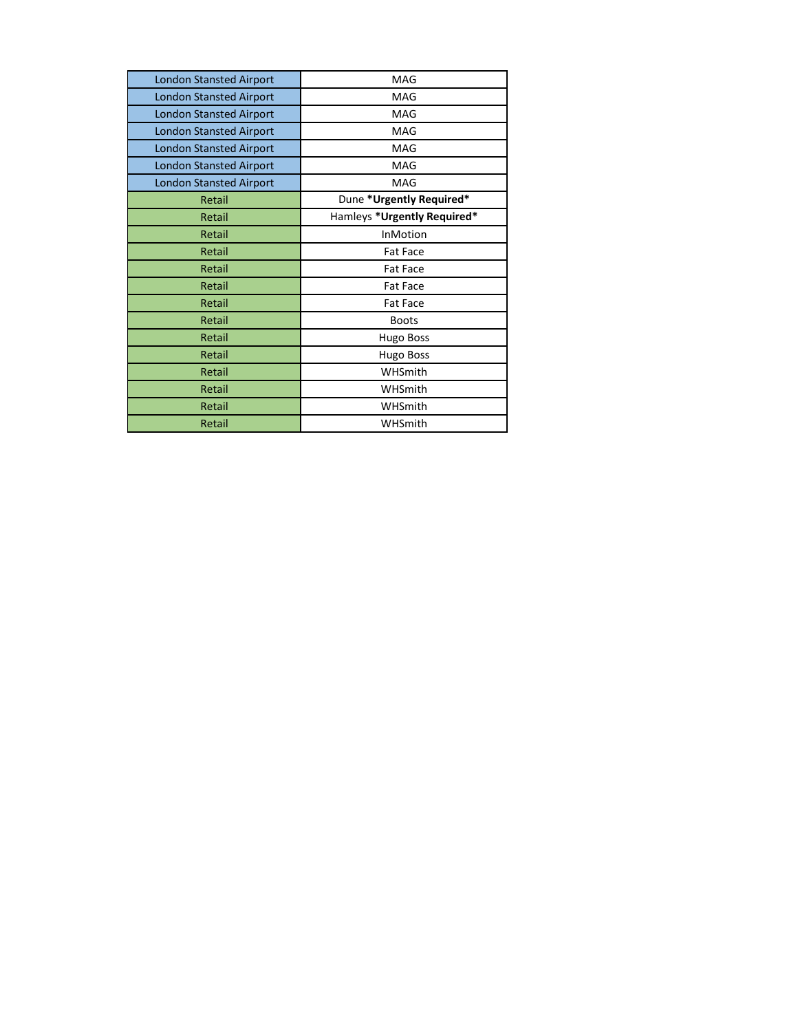| <b>London Stansted Airport</b> | MAG                         |
|--------------------------------|-----------------------------|
| <b>London Stansted Airport</b> | MAG                         |
| <b>London Stansted Airport</b> | MAG                         |
| <b>London Stansted Airport</b> | MAG                         |
| <b>London Stansted Airport</b> | MAG                         |
| <b>London Stansted Airport</b> | MAG                         |
| <b>London Stansted Airport</b> | MAG                         |
| Retail                         | Dune *Urgently Required*    |
| Retail                         | Hamleys *Urgently Required* |
| Retail                         | InMotion                    |
| Retail                         | <b>Fat Face</b>             |
| Retail                         | <b>Fat Face</b>             |
| Retail                         | <b>Fat Face</b>             |
| Retail                         | <b>Fat Face</b>             |
| Retail                         | <b>Boots</b>                |
| Retail                         | Hugo Boss                   |
| Retail                         | Hugo Boss                   |
| Retail                         | WHSmith                     |
| Retail                         | WHSmith                     |
| Retail                         | WHSmith                     |
| Retail                         | WHSmith                     |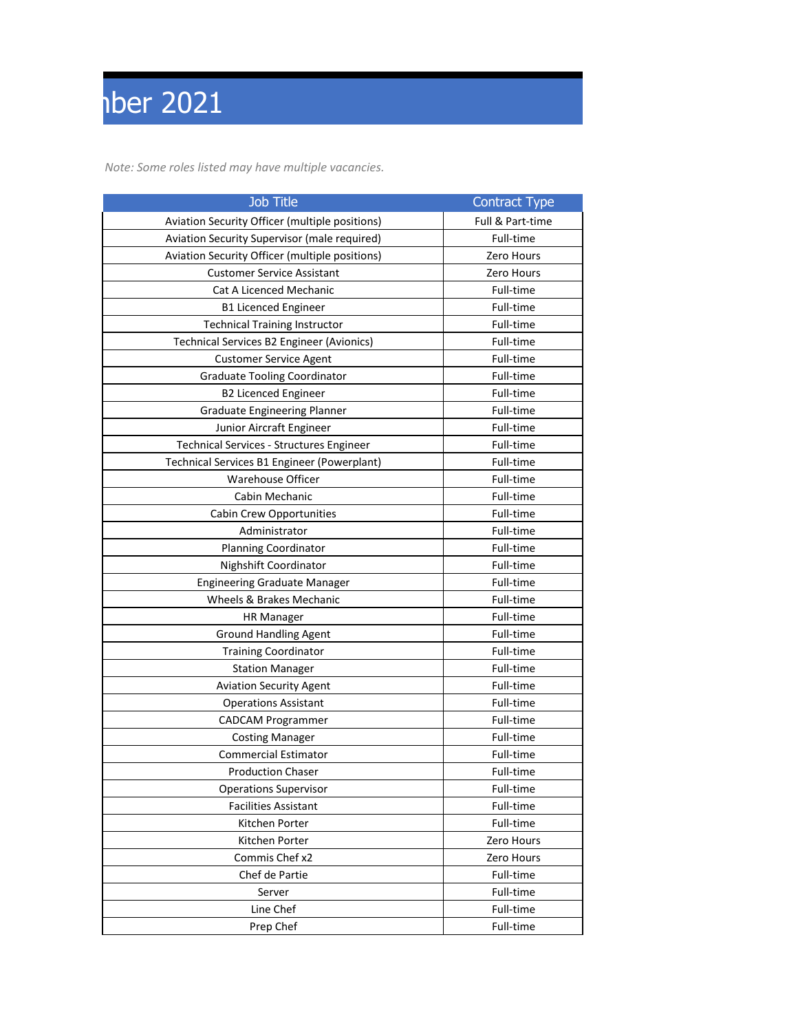# $\sqrt{15}$

*Note: Some roles listed may have multiple vacancies.*

| Job Title                                        | <b>Contract Type</b> |
|--------------------------------------------------|----------------------|
| Aviation Security Officer (multiple positions)   | Full & Part-time     |
| Aviation Security Supervisor (male required)     | Full-time            |
| Aviation Security Officer (multiple positions)   | Zero Hours           |
| <b>Customer Service Assistant</b>                | Zero Hours           |
| Cat A Licenced Mechanic                          | Full-time            |
| <b>B1 Licenced Engineer</b>                      | Full-time            |
| <b>Technical Training Instructor</b>             | Full-time            |
| <b>Technical Services B2 Engineer (Avionics)</b> | Full-time            |
| <b>Customer Service Agent</b>                    | Full-time            |
| <b>Graduate Tooling Coordinator</b>              | Full-time            |
| <b>B2 Licenced Engineer</b>                      | Full-time            |
| <b>Graduate Engineering Planner</b>              | Full-time            |
| Junior Aircraft Engineer                         | Full-time            |
| Technical Services - Structures Engineer         | Full-time            |
| Technical Services B1 Engineer (Powerplant)      | Full-time            |
| <b>Warehouse Officer</b>                         | Full-time            |
| Cabin Mechanic                                   | Full-time            |
| Cabin Crew Opportunities                         | Full-time            |
| Administrator                                    | Full-time            |
| Planning Coordinator                             | Full-time            |
| Nighshift Coordinator                            | Full-time            |
| <b>Engineering Graduate Manager</b>              | Full-time            |
| Wheels & Brakes Mechanic                         | Full-time            |
| <b>HR Manager</b>                                | Full-time            |
| <b>Ground Handling Agent</b>                     | Full-time            |
| <b>Training Coordinator</b>                      | Full-time            |
| <b>Station Manager</b>                           | Full-time            |
| <b>Aviation Security Agent</b>                   | Full-time            |
| <b>Operations Assistant</b>                      | Full-time            |
| CADCAM Programmer                                | Full-time            |
| <b>Costing Manager</b>                           | Full-time            |
| <b>Commercial Estimator</b>                      | Full-time            |
| <b>Production Chaser</b>                         | Full-time            |
| <b>Operations Supervisor</b>                     | Full-time            |
| <b>Facilities Assistant</b>                      | Full-time            |
| Kitchen Porter                                   | Full-time            |
| Kitchen Porter                                   | Zero Hours           |
| Commis Chef x2                                   | Zero Hours           |
| Chef de Partie                                   | Full-time            |
| Server                                           | Full-time            |
| Line Chef                                        | Full-time            |
| Prep Chef                                        | Full-time            |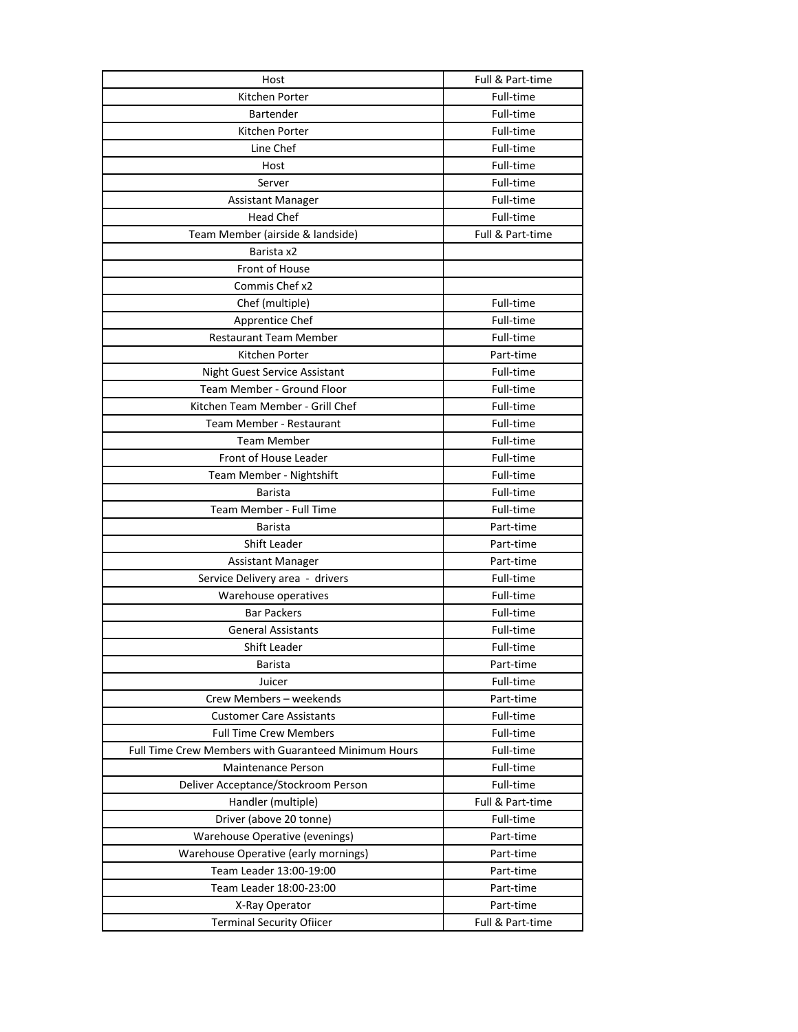| Host                                                        | Full & Part-time       |
|-------------------------------------------------------------|------------------------|
| Kitchen Porter                                              | Full-time              |
| Bartender                                                   | Full-time              |
| Kitchen Porter                                              | Full-time              |
| Line Chef                                                   | Full-time              |
| Host                                                        | Full-time              |
| Server                                                      | Full-time              |
| <b>Assistant Manager</b>                                    | Full-time              |
| <b>Head Chef</b>                                            | Full-time              |
| Team Member (airside & landside)                            | Full & Part-time       |
| Barista x2                                                  |                        |
| Front of House                                              |                        |
| Commis Chef x2                                              |                        |
| Chef (multiple)                                             | Full-time              |
| Apprentice Chef                                             | Full-time              |
| <b>Restaurant Team Member</b>                               | Full-time              |
| Kitchen Porter                                              | Part-time              |
| Night Guest Service Assistant                               | Full-time              |
| Team Member - Ground Floor                                  | Full-time              |
| Kitchen Team Member - Grill Chef                            | Full-time              |
| Team Member - Restaurant                                    | Full-time              |
| <b>Team Member</b>                                          | Full-time              |
| Front of House Leader                                       | Full-time              |
| Team Member - Nightshift                                    | Full-time              |
| <b>Barista</b>                                              | Full-time              |
| Team Member - Full Time                                     | Full-time              |
| <b>Barista</b>                                              | Part-time              |
| Shift Leader                                                | Part-time              |
|                                                             | Part-time              |
| <b>Assistant Manager</b><br>Service Delivery area - drivers | Full-time              |
| Warehouse operatives                                        |                        |
| <b>Bar Packers</b>                                          | Full-time<br>Full-time |
|                                                             |                        |
| <b>General Assistants</b>                                   | Full-time              |
| Shift Leader                                                | Full-time              |
| Barista                                                     | Part-time              |
| Juicer                                                      | Full-time              |
| Crew Members - weekends                                     | Part-time              |
| <b>Customer Care Assistants</b>                             | Full-time              |
| <b>Full Time Crew Members</b>                               | Full-time              |
| Full Time Crew Members with Guaranteed Minimum Hours        | Full-time              |
| <b>Maintenance Person</b>                                   | Full-time              |
| Deliver Acceptance/Stockroom Person                         | Full-time              |
| Handler (multiple)                                          | Full & Part-time       |
| Driver (above 20 tonne)                                     | Full-time              |
| Warehouse Operative (evenings)                              | Part-time              |
| Warehouse Operative (early mornings)                        | Part-time              |
| Team Leader 13:00-19:00                                     | Part-time              |
| Team Leader 18:00-23:00                                     | Part-time              |
| X-Ray Operator                                              | Part-time              |
| <b>Terminal Security Ofiicer</b>                            | Full & Part-time       |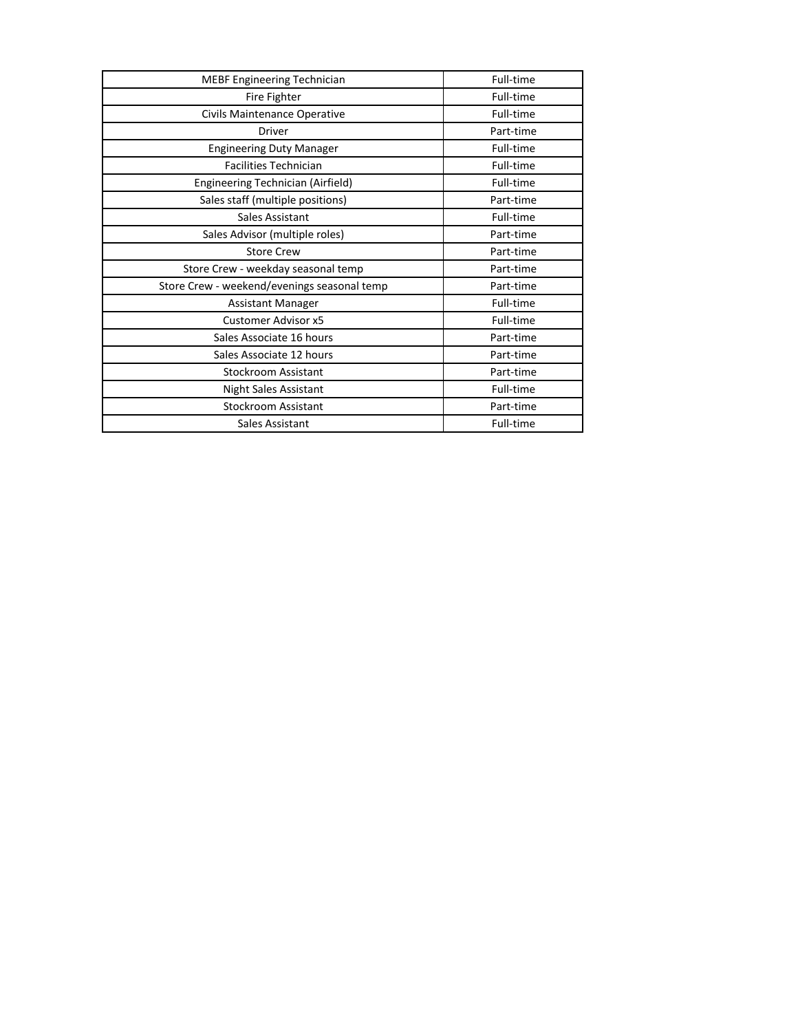| MEBF Engineering Technician                 | Full-time |
|---------------------------------------------|-----------|
| Fire Fighter                                | Full-time |
| Civils Maintenance Operative                | Full-time |
| <b>Driver</b>                               | Part-time |
| <b>Engineering Duty Manager</b>             | Full-time |
| <b>Facilities Technician</b>                | Full-time |
| Engineering Technician (Airfield)           | Full-time |
| Sales staff (multiple positions)            | Part-time |
| Sales Assistant                             | Full-time |
| Sales Advisor (multiple roles)              | Part-time |
| <b>Store Crew</b>                           | Part-time |
| Store Crew - weekday seasonal temp          | Part-time |
| Store Crew - weekend/evenings seasonal temp | Part-time |
| <b>Assistant Manager</b>                    | Full-time |
| Customer Advisor x5                         | Full-time |
| Sales Associate 16 hours                    | Part-time |
| Sales Associate 12 hours                    | Part-time |
| <b>Stockroom Assistant</b>                  | Part-time |
| Night Sales Assistant                       | Full-time |
| Stockroom Assistant                         | Part-time |
| Sales Assistant                             | Full-time |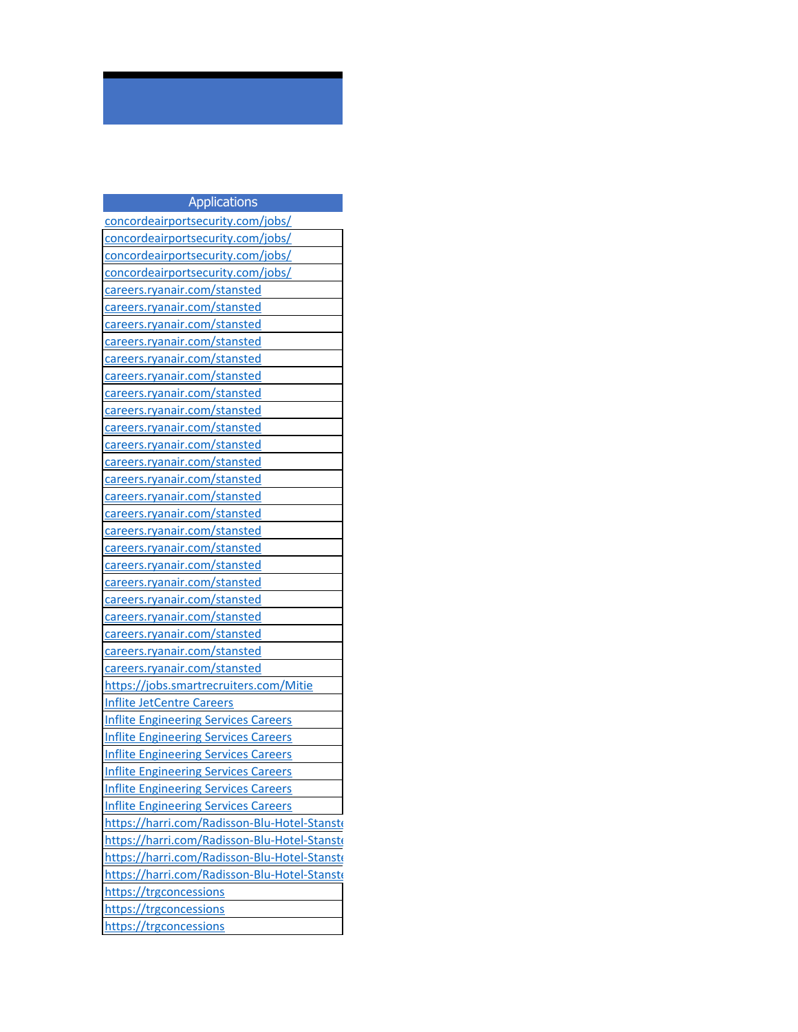| <b>Applications</b>                          |
|----------------------------------------------|
| concordeairportsecurity.com/jobs/            |
| concordeairportsecurity.com/jobs/            |
| concordeairportsecurity.com/jobs/            |
| concordeairportsecurity.com/jobs/            |
| careers.ryanair.com/stansted                 |
| careers.ryanair.com/stansted                 |
| careers.ryanair.com/stansted                 |
| careers.ryanair.com/stansted                 |
| careers.ryanair.com/stansted                 |
| careers.ryanair.com/stansted                 |
| careers.ryanair.com/stansted                 |
| careers.ryanair.com/stansted                 |
| careers.ryanair.com/stansted                 |
| careers.ryanair.com/stansted                 |
| careers.ryanair.com/stansted                 |
| careers.ryanair.com/stansted                 |
| careers.ryanair.com/stansted                 |
| careers.ryanair.com/stansted                 |
| careers.ryanair.com/stansted                 |
| careers.ryanair.com/stansted                 |
| careers.ryanair.com/stansted                 |
| careers.ryanair.com/stansted                 |
| careers.ryanair.com/stansted                 |
| careers.ryanair.com/stansted                 |
| careers.ryanair.com/stansted                 |
| careers.ryanair.com/stansted                 |
| careers.ryanair.com/stansted                 |
| https://jobs.smartrecruiters.com/Mitie       |
| <b>Inflite JetCentre Careers</b>             |
| <b>Inflite Engineering Services Careers</b>  |
| <b>Inflite Engineering Services Careers</b>  |
| <b>Inflite Engineering Services Careers</b>  |
| <b>Inflite Engineering Services Careers</b>  |
| <b>Inflite Engineering Services Careers</b>  |
| <b>Inflite Engineering Services Careers</b>  |
| https://harri.com/Radisson-Blu-Hotel-Stanste |
| https://harri.com/Radisson-Blu-Hotel-Stanste |
| https://harri.com/Radisson-Blu-Hotel-Stanste |
| https://harri.com/Radisson-Blu-Hotel-Stanste |
| https://trgconcessions                       |
| https://trgconcessions                       |
| https://trgconcessions                       |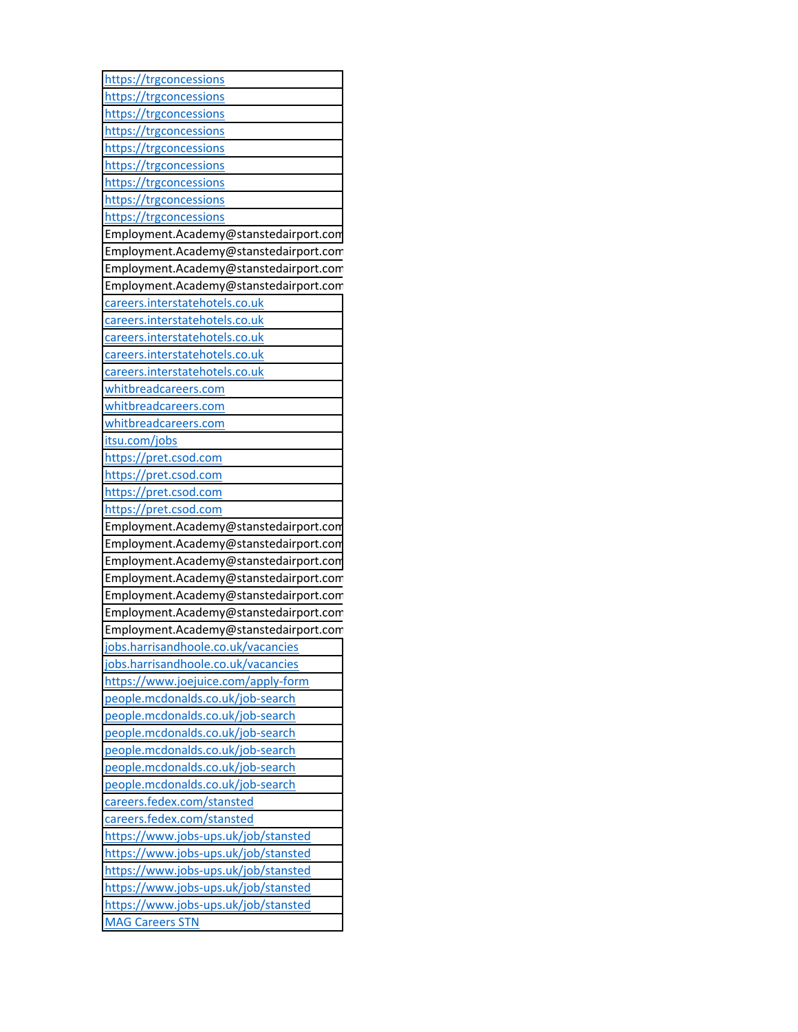| https://trgconcessions                 |
|----------------------------------------|
| https://trgconcessions                 |
| https://trgconcessions                 |
| https://trgconcessions                 |
| https://trgconcessions                 |
| https://trgconcessions                 |
| https://trgconcessions                 |
| https://trgconcessions                 |
| https://trgconcessions                 |
| Employment.Academy@stanstedairport.com |
| Employment.Academy@stanstedairport.com |
| Employment.Academy@stanstedairport.com |
| Employment.Academy@stanstedairport.com |
| careers.interstatehotels.co.uk         |
| careers.interstatehotels.co.uk         |
| careers.interstatehotels.co.uk         |
| careers.interstatehotels.co.uk         |
| careers.interstatehotels.co.uk         |
| whitbreadcareers.com                   |
| whitbreadcareers.com                   |
| whitbreadcareers.com                   |
| itsu.com/jobs                          |
| https://pret.csod.com                  |
| https://pret.csod.com                  |
| https://pret.csod.com                  |
| https://pret.csod.com                  |
| Employment.Academy@stanstedairport.com |
| Employment.Academy@stanstedairport.com |
| Employment.Academy@stanstedairport.com |
| Employment.Academy@stanstedairport.com |
| Employment.Academy@stanstedairport.com |
| Employment.Academy@stanstedairport.com |
| Employment.Academy@stanstedairport.com |
| jobs.harrisandhoole.co.uk/vacancies    |
| jobs.harrisandhoole.co.uk/vacancies    |
| https://www.joejuice.com/apply-form    |
| people.mcdonalds.co.uk/job-search      |
| people.mcdonalds.co.uk/job-search      |
| people.mcdonalds.co.uk/job-search      |
| people.mcdonalds.co.uk/job-search      |
| people.mcdonalds.co.uk/job-search      |
| people.mcdonalds.co.uk/job-search      |
| careers.fedex.com/stansted             |
| careers.fedex.com/stansted             |
| https://www.jobs-ups.uk/job/stansted   |
| https://www.jobs-ups.uk/job/stansted   |
| https://www.jobs-ups.uk/job/stansted   |
| https://www.jobs-ups.uk/job/stansted   |
| https://www.jobs-ups.uk/job/stansted   |
| <b>MAG Careers STN</b>                 |
|                                        |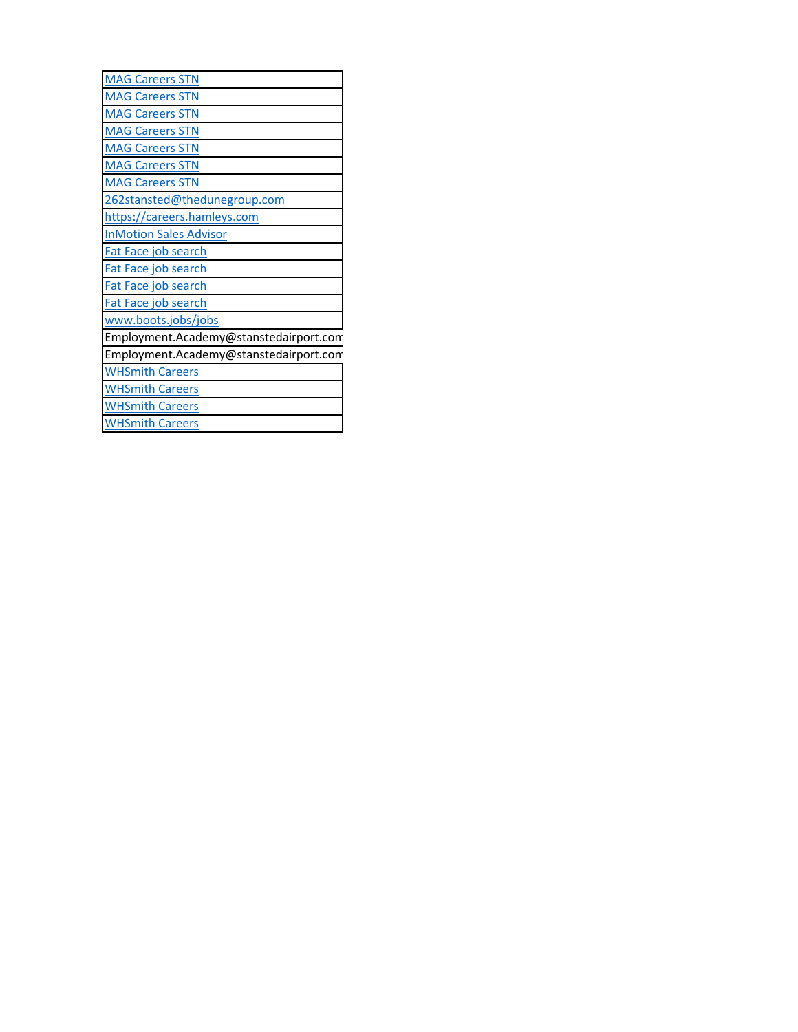| <b>MAG Careers STN</b>                 |
|----------------------------------------|
| <b>MAG Careers STN</b>                 |
| <b>MAG Careers STN</b>                 |
| <b>MAG Careers STN</b>                 |
| <b>MAG Careers STN</b>                 |
| <b>MAG Careers STN</b>                 |
| <b>MAG Careers STN</b>                 |
| 262stansted@thedunegroup.com           |
| https://careers.hamleys.com            |
| <b>InMotion Sales Advisor</b>          |
| Fat Face job search                    |
| Fat Face job search                    |
| Fat Face job search                    |
| Fat Face job search                    |
| www.boots.jobs/jobs                    |
| Employment.Academy@stanstedairport.com |
| Employment.Academy@stanstedairport.com |
| <b>WHSmith Careers</b>                 |
| <b>WHSmith Careers</b>                 |
| <b>WHSmith Careers</b>                 |
| <b>WHSmith Careers</b>                 |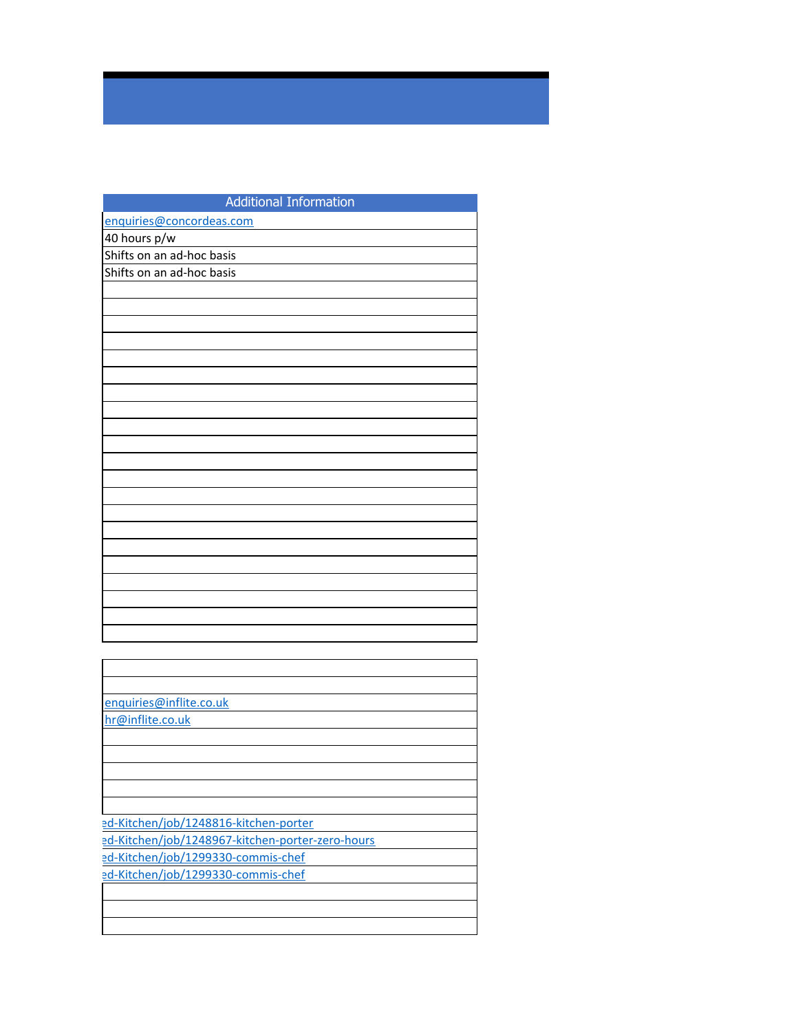| <b>Additional Information</b> |
|-------------------------------|
| enquiries@concordeas.com      |
| 40 hours p/w                  |
| Shifts on an ad-hoc basis     |
| Shifts on an ad-hoc basis     |
|                               |
|                               |
|                               |
|                               |
|                               |
|                               |
|                               |
|                               |
|                               |
|                               |
|                               |
|                               |
|                               |
|                               |
|                               |
|                               |
|                               |
|                               |
|                               |
|                               |
|                               |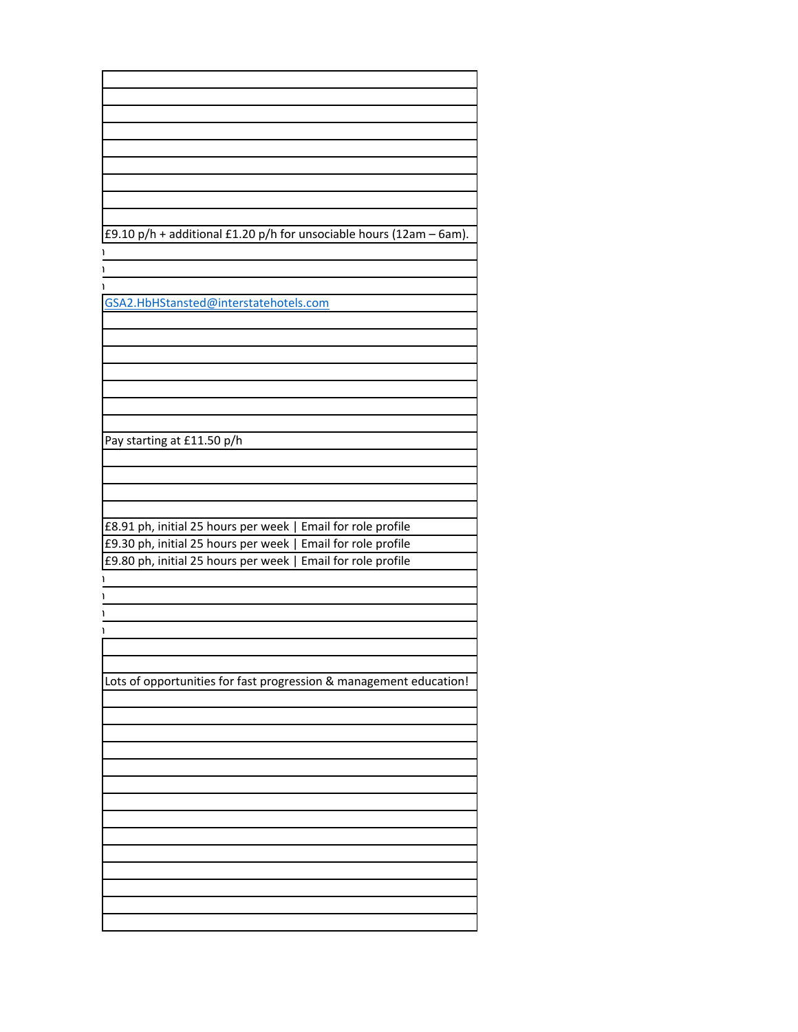| £9.10 p/h + additional £1.20 p/h for unsociable hours (12am - 6am). |
|---------------------------------------------------------------------|
|                                                                     |
|                                                                     |
|                                                                     |
|                                                                     |
|                                                                     |
| GSA2.HbHStansted@interstatehotels.com                               |
|                                                                     |
|                                                                     |
|                                                                     |
|                                                                     |
|                                                                     |
|                                                                     |
|                                                                     |
|                                                                     |
|                                                                     |
|                                                                     |
| Pay starting at £11.50 p/h                                          |
|                                                                     |
|                                                                     |
|                                                                     |
|                                                                     |
|                                                                     |
| £8.91 ph, initial 25 hours per week   Email for role profile        |
|                                                                     |
| £9.30 ph, initial 25 hours per week   Email for role profile        |
| £9.80 ph, initial 25 hours per week   Email for role profile        |
|                                                                     |
|                                                                     |
|                                                                     |
|                                                                     |
|                                                                     |
|                                                                     |
|                                                                     |
|                                                                     |
|                                                                     |
| Lots of opportunities for fast progression & management education!  |
|                                                                     |
|                                                                     |
|                                                                     |
|                                                                     |
|                                                                     |
|                                                                     |
|                                                                     |
|                                                                     |
|                                                                     |
|                                                                     |
|                                                                     |
|                                                                     |
|                                                                     |
|                                                                     |
|                                                                     |
|                                                                     |
|                                                                     |
|                                                                     |
|                                                                     |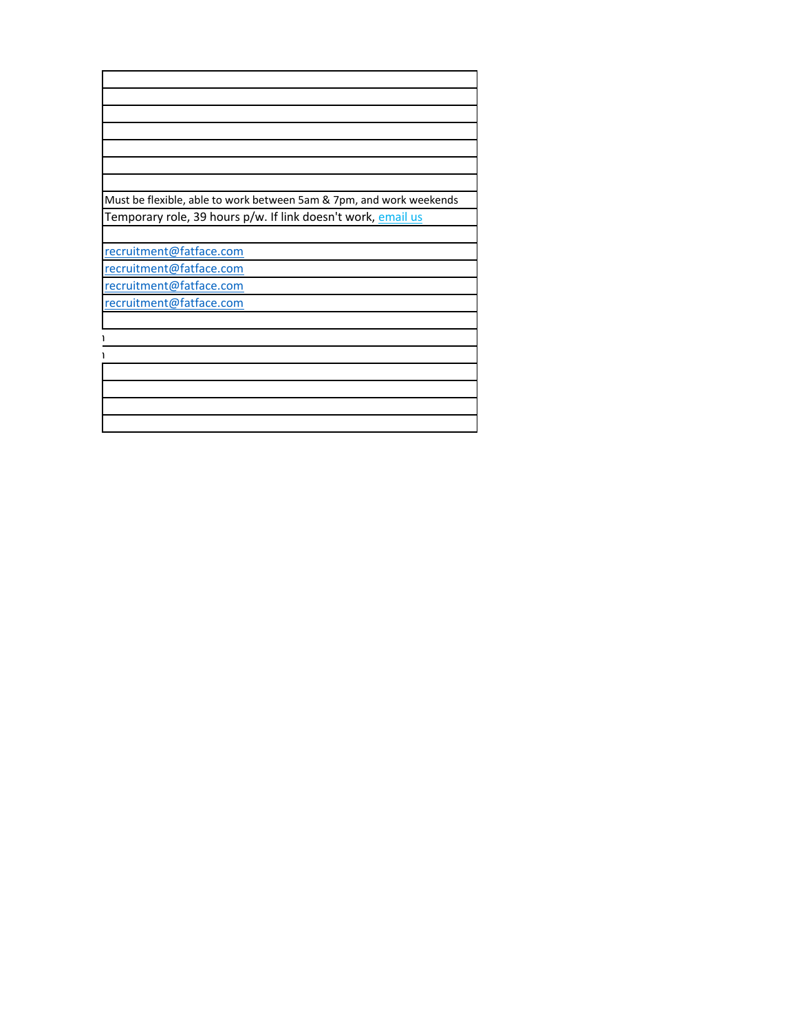| Must be flexible, able to work between 5am & 7pm, and work weekends |
|---------------------------------------------------------------------|
| Temporary role, 39 hours p/w. If link doesn't work, email us        |
|                                                                     |
| recruitment@fatface.com                                             |
| recruitment@fatface.com                                             |
| recruitment@fatface.com                                             |
| recruitment@fatface.com                                             |
|                                                                     |
|                                                                     |
|                                                                     |
|                                                                     |
|                                                                     |
|                                                                     |
|                                                                     |
|                                                                     |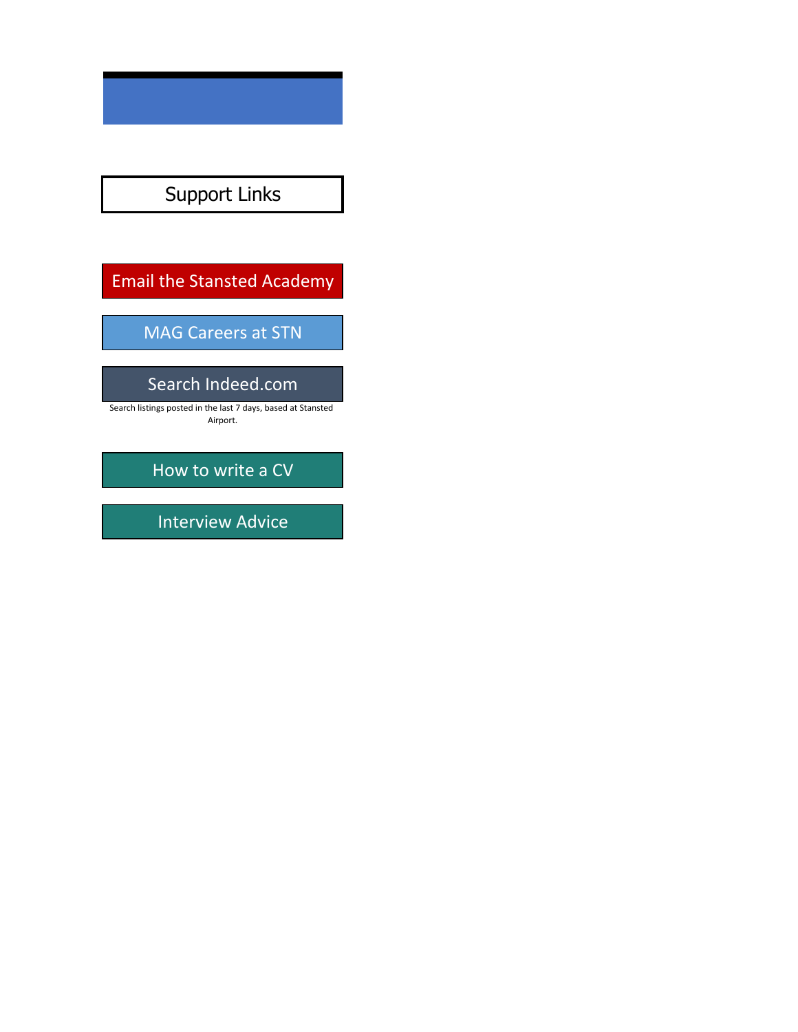## Support Links

### Email the Stansted Academy

#### MAG Careers at STN

#### Search Indeed.com

Search listings posted in the last 7 days, based at Stansted Airport.

How to write a CV

Interview Advice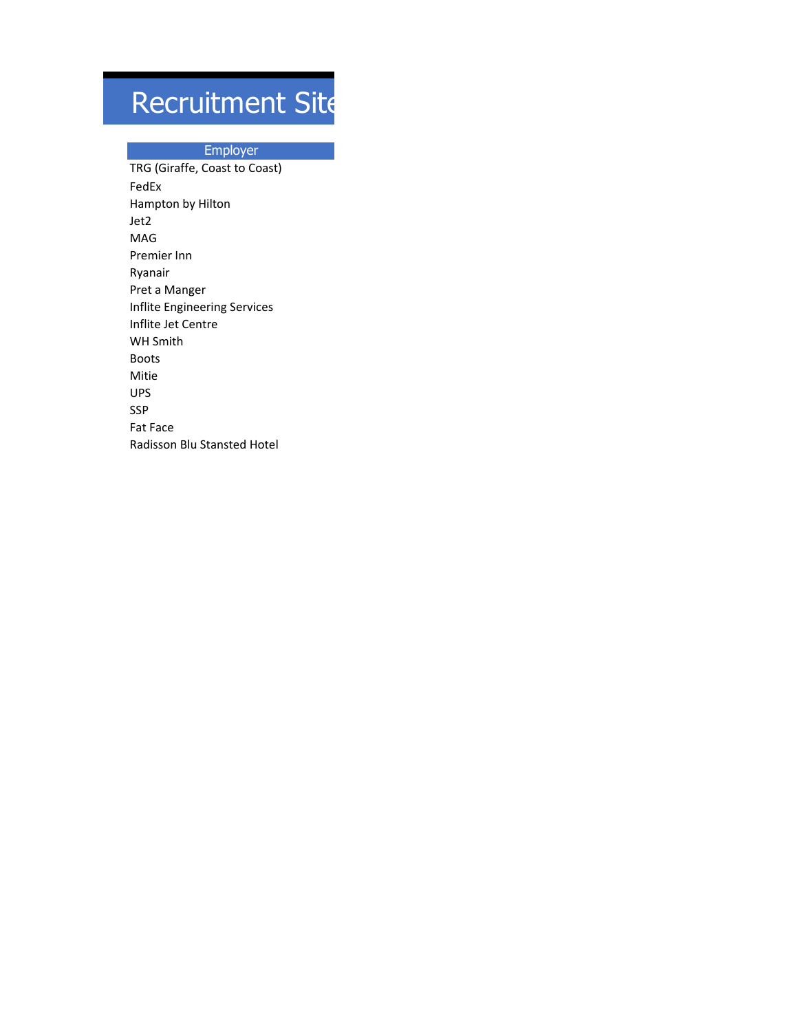## Recruitment Site

#### Employer

TRG (Giraffe, Coast to Coast) FedEx Hampton by Hilton Jet2 MAG Premier Inn Ryanair Pret a Manger Inflite Engineering Services Inflite Jet Centre WH Smith Boots Mitie UPS SSP Fat Face Radisson Blu Stansted Hotel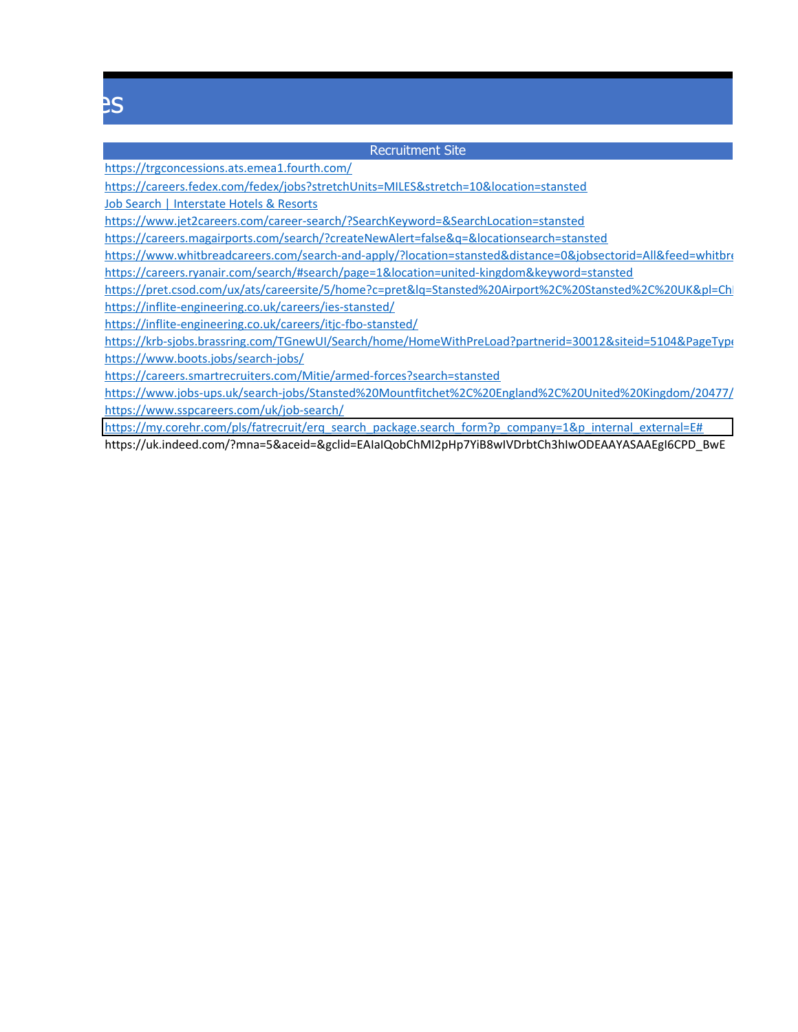## Recruitment Sites

#### Recruitment Site

https://trgconcessions.ats.emea1.fourth.com/

https://careers.fedex.com/fedex/jobs?stretchUnits=MILES&stretch=10&location=stansted

Job Search | Interstate Hotels & Resorts

https://www.jet2careers.com/career-search/?SearchKeyword=&SearchLocation=stansted

https://careers.magairports.com/search/?createNewAlert=false&q=&locationsearch=stansted

https://www.whitbreadcareers.com/search-and-apply/?location=stansted&distance=0&jobsectorid=All&feed=whitbread https://careers.ryanair.com/search/#search/page=1&location=united-kingdom&keyword=stansted

https://pret.csod.com/ux/ats/careersite/5/home?c=pret&lq=Stansted%20Airport%2C%20Stansted%2C%20UK&pl=ChI https://inflite-engineering.co.uk/careers/ies-stansted/

https://inflite-engineering.co.uk/careers/itjc-fbo-stansted/

https://krb-sjobs.brassring.com/TGnewUI/Search/home/HomeWithPreLoad?partnerid=30012&siteid=5104&PageType https://www.boots.jobs/search-jobs/

https://careers.smartrecruiters.com/Mitie/armed-forces?search=stansted

https://www.jobs-ups.uk/search-jobs/Stansted%20Mountfitchet%2C%20England%2C%20United%20Kingdom/20477/ https://www.sspcareers.com/uk/job-search/

https://my.corehr.com/pls/fatrecruit/erq\_search\_package.search\_form?p\_company=1&p\_internal\_external=E#

https://uk.indeed.com/?mna=5&aceid=&gclid=EAIaIQobChMI2pHp7YiB8wIVDrbtCh3hIwODEAAYASAAEgI6CPD\_BwE